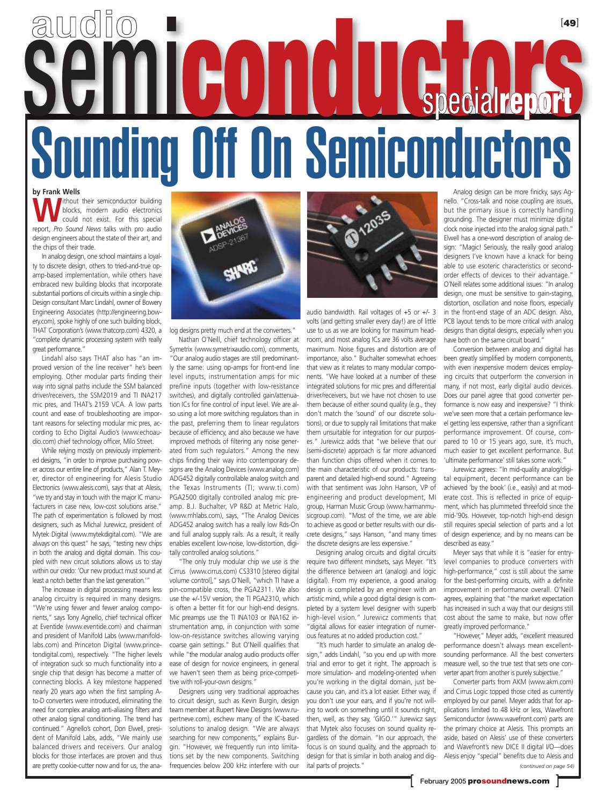## **by Frank Wells** Analog design can be more finicky, says Ag-[**49**] Sounding Off On Semiconductors semi**conductors** special**report** audio

Without their semiconductor building<br>could not exist. For this special<br>report *Pro Sound Nous* talks with are audio blocks, modern audio electronics report, *Pro Sound News* talks with pro audio design engineers about the state of their art, and the chips of their trade.

In analog design, one school maintains a loyalty to discrete design, others to tried-and-true opamp-based implementation, while others have embraced new building blocks that incorporate substantial portions of circuits within a single chip. Design consultant Marc Lindahl, owner of Bowery Engineering Associates (http://engineering.bowery.com), spoke highly of one such building block, THAT Corporation's (www.thatcorp.com) 4320, a "complete dynamic processing system with really great performance."

Lindahl also says THAT also has "an improved version of the line receiver" he's been employing. Other modular parts finding their way into signal paths include the SSM balanced driver/receivers, the SSM2019 and TI INA217 mic pres, and THAT's 2159 VCA. A low parts count and ease of troubleshooting are important reasons for selecting modular mic pres, according to Echo Digital Audio's (www.echoaudio.com) chief technology officer, Milo Street.

While relying mostly on previously implemented designs, "in order to improve purchasing power across our entire line of products," Alan T. Meyer, director of engineering for Alesis Studio Electronics (www.alesis.com), says that at Alesis, "we try and stay in touch with the major IC manufacturers in case new, low-cost solutions arise." The path of experimentation is followed by most designers, such as Michal Jurewicz, president of Mytek Digital (www.mytekdigital.com). "We are always on this quest" he says, "testing new chips in both the analog and digital domain. This coupled with new circuit solutions allows us to stay within our credo: 'Our new product must sound at least a notch better than the last generation.'"

The increase in digital processing means less analog circuitry is required in many designs. "We're using fewer and fewer analog components," says Tony Agnello, chief technical officer at Eventide (www.eventide.com) and chairman and president of Manifold Labs (www.manifoldlabs.com) and Princeton Digital (www.princetondigital.com), respectively. "The higher levels of integration suck so much functionality into a single chip that design has become a matter of connecting blocks. A key milestone happened nearly 20 years ago when the first sampling Ato-D converters were introduced, eliminating the need for complex analog anti-aliasing filters and other analog signal conditioning. The trend has continued." Agnello's cohort, Don Elwell, president of Manifold Labs, adds, "We mainly use balanced drivers and receivers. Our analog blocks for those interfaces are proven and thus are pretty cookie-cutter now and for us, the ana-



log designs pretty much end at the converters."

Nathan O'Neill, chief technology officer at Symetrix (www.symetrixaudio.com), comments, "Our analog audio stages are still predominantly the same: using op-amps for front-end line level inputs, instrumentation amps for mic pre/line inputs (together with low-resistance switches), and digitally controlled gain/attenuation ICs for fine control of input level. We are also using a lot more switching regulators than in the past, preferring them to linear regulators because of efficiency, and also because we have improved methods of filtering any noise generated from such regulators." Among the new chips finding their way into contemporary designs are the Analog Devices (www.analog.com) ADG452 digitally controllable analog switch and the Texas Instruments (TI; www.ti.com) PGA2500 digitally controlled analog mic preamp. B.J. Buchalter, VP R&D at Metric Halo, (www.mhlabs.com), says, "The Analog Devices ADG452 analog switch has a really low Rds-On and full analog supply rails. As a result, it really enables excellent low-noise, low-distortion, digitally controlled analog solutions."

"The only truly modular chip we use is the Cirrus (www.cirrus.com) CS3310 [stereo digital volume control]," says O'Neill, "which TI have a pin-compatible cross, the PGA2311. We also use the +/-15V version, the TI PGA2310, which is often a better fit for our high-end designs. Mic preamps use the TI INA103 or INA162 instrumentation amp, in conjunction with some low-on-resistance switches allowing varying coarse gain settings." But O'Neill qualifies that while "the modular analog audio products offer ease of design for novice engineers, in general we haven't seen them as being price-competitive with roll-your-own designs."

Designers using very traditional approaches to circuit design, such as Kevin Burgin, design team member at Rupert Neve Designs (www.rupertneve.com), eschew many of the IC-based solutions to analog design. "We are always searching for new components," explains Burgin. "However, we frequently run into limitations set by the new components. Switching frequencies below 200 kHz interfere with our



audio bandwidth. Rail voltages of +5 or +/- 3 volts (and getting smaller every day!) are of little use to us as we are looking for maximum headroom, and most analog ICs are 36 volts average maximum. Noise figures and distortion are of importance, also." Buchalter somewhat echoes that view as it relates to many modular components. "We have looked at a number of these integrated solutions for mic pres and differential driver/receivers, but we have not chosen to use them because of either sound quality (e.g., they don't match the 'sound' of our discrete solutions), or due to supply rail limitations that make them unsuitable for integration for our purposes." Jurewicz adds that "we believe that our (semi-discrete) approach is far more advanced than function chips offered when it comes to the main characteristic of our products: transparent and detailed high-end sound." Agreeing with that sentiment was John Hanson, VP of engineering and product development, MI group, Harman Music Group (www.harmanmusicgroup.com). "Most of the time, we are able to achieve as good or better results with our discrete designs," says Hanson, "and many times the discrete designs are less expensive."

Designing analog circuits and digital circuits require two different mindsets, says Meyer. "It's the difference between art (analog) and logic (digital). From my experience, a good analog design is completed by an engineer with an artistic mind, while a good digital design is completed by a system level designer with superb high-level vision." Jurewicz comments that "digital allows for easier integration of numerous features at no added production cost."

"It's much harder to simulate an analog design," adds Lindahl, "so you end up with more trial and error to get it right. The approach is more simulation- and modeling-oriented when you're working in the digital domain, just because you can, and it's a lot easier. Either way, if you don't use your ears, and if you're not willing to work on something until it sounds right, then, well, as they say, 'GIGO.'" Jurewicz says that Mytek also focuses on sound quality regardless of the domain. "In our approach, the focus is on sound quality, and the approach to design for that is similar in both analog and digital parts of projects."

nello. "Cross-talk and noise coupling are issues, but the primary issue is correctly handling grounding. The designer must minimize digital clock noise injected into the analog signal path." Elwell has a one-word description of analog design: "Magic! Seriously, the really good analog designers I've known have a knack for being able to use esoteric characteristics or secondorder effects of devices to their advantage." O'Neill relates some additional issues: "In analog design, one must be sensitive to gain-staging, distortion, oscillation and noise floors, especially in the front-end stage of an ADC design. Also, PCB layout tends to be more critical with analog designs than digital designs, especially when you have both on the same circuit board."

Conversion between analog and digital has been greatly simplified by modern components, with even inexpensive modern devices employing circuits that outperform the conversion in many, if not most, early digital audio devices. Does our panel agree that good converter performance is now easy and inexpensive? "I think we've seen more that a certain performance level getting less expensive, rather than a significant performance improvement. Of course, compared to 10 or 15 years ago, sure, it's much, much easier to get excellent performance. But 'ultimate performance' still takes some work."

Jurewicz agrees: "In mid-quality analog/digital equipment, decent performance can be achieved 'by the book' (i.e., easily) and at moderate cost. This is reflected in price of equipment, which has plummeted threefold since the mid-'90s. However, top-notch high-end design still requires special selection of parts and a lot of design experience, and by no means can be described as easy."

Meyer says that while it is "easier for entrylevel companies to produce converters with high-performance," cost is still about the same for the best-performing circuits, with a definite improvement in performance overall. O'Neill agrees, explaining that "the market expectation has increased in such a way that our designs still cost about the same to make, but now offer greatly improved performance."

"However," Meyer adds, "excellent measured performance doesn't always mean excellentsounding performance. All the best converters measure well, so the true test that sets one converter apart from another is purely subjective."

Converter parts from AKM (www.akm.com) and Cirrus Logic topped those cited as currently employed by our panel. Meyer adds that for applications limited to 48 kHz or less, Wavefront Semiconductor (www.wavefront.com) parts are the primary choice at Alesis. This prompts an aside, based on Alesis' use of these converters and Wavefront's new DICE II digital I/O—does Alesis enjoy "special" benefits due to Alesis and *(continued on page 54)*